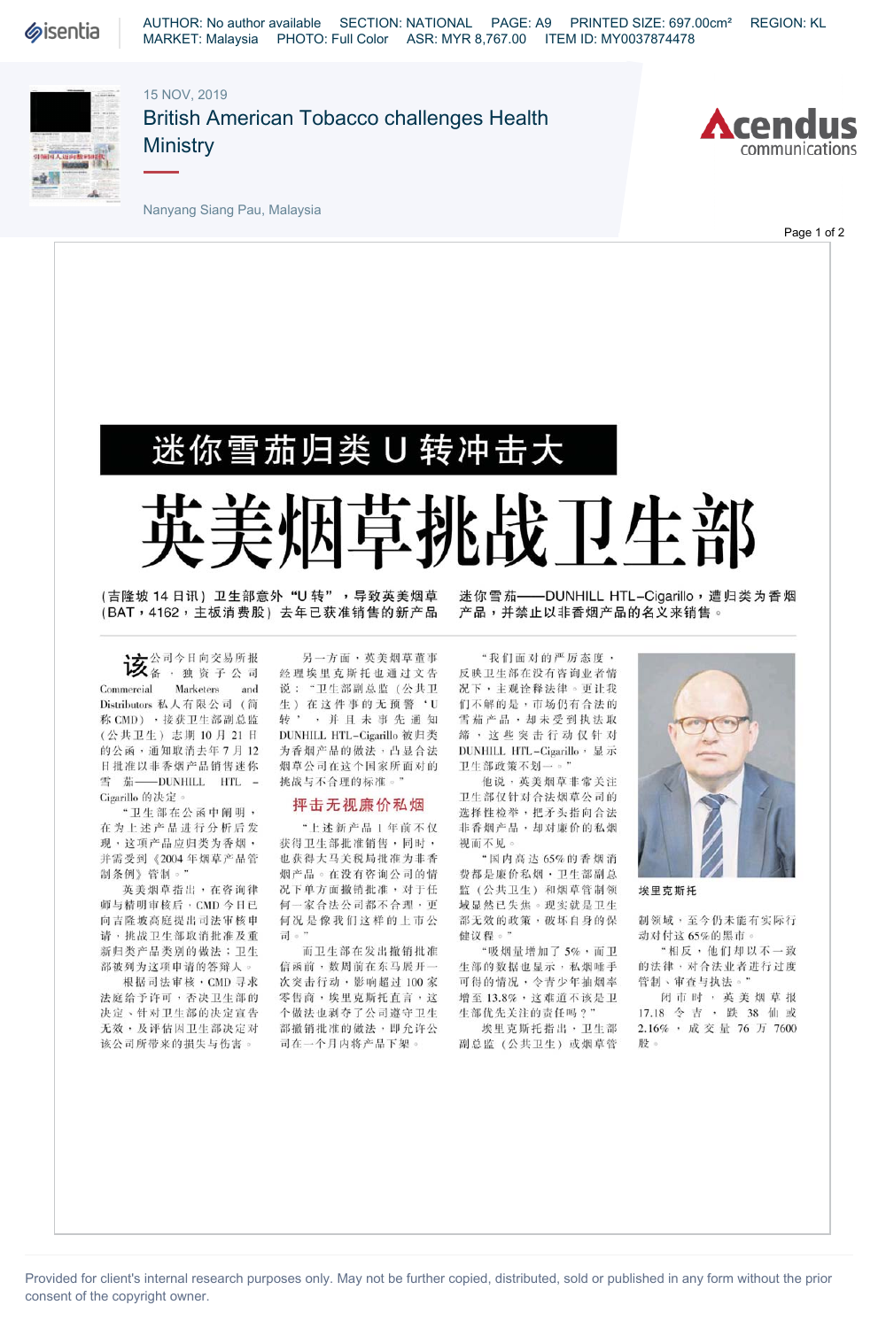

AUTHOR: No author available SECTION: NATIONAL PAGE: A9 PRINTED SIZE: 697.00cm² REGION: KL MARKET: Malaysia PHOTO: Full Color ASR: MYR 8,767.00 ITEM ID: MY0037874478

15 NOV, 2019



British American Tobacco challenges Health **Ministry** 



Nanyang Siang Pau, Malaysia

Page 1 of 2

## 迷你雪茄归类U转冲击大

## 英美烟 烟草挑战 卫生 部

(吉隆坡 14 日讯) 卫生部意外 "U 转" ,导致英美烟草 (BAT,4162,主板消费股)去年已获准销售的新产品 产品,并禁止以非香烟产品的名义来销售。

**该**公司今日向交易所报 Commercial Markelers and Commercial Marketers and<br>Distributors 私人有限公司 (简<br>称 CMD) ,接获卫生部副总监<br>< < \* # FL + > = # # + 0 - FL 2 + H 称 CMD) , 接获卫生部副总监<br>(公共卫生) 志期 10月 21日 的公函,通知取消去年7月12 R批准以非香烟产品销售迷你 雪茄——DUNHILL HTL -Cigarillo 的决定。.

"卫生部在公函中阐明, 在为上述产品进行分析后发 现,这项产品应归类为香烟, 并需受到《2004年烟草产品管 制条例》管制。"

英美烟草指出,在咨询律 师与精明审核后, CMD 今日已 向吉隆坡高庭提出司法审核申 请,挑战卫生部取消批准及重 新归类产品类别的做法;卫生 部被列为这项申请的答辩人。

根据司法审核, CMD 寻求 法庭给予许可,否决卫生部的 决定、针对卫生部的决定宣告 无效,及评估因卫生部决定对 该公司所带来的损失与伤害。

另一方面,英美烟草董事 经理埃里克斯托也通过文告 说:"卫生部副总监(公共卫 生) 在这件事的无预警'U 转',并且未事先通知 DUNHILL HTL-Cigarillo 被归类 为香烟产品的做法,凸显合法 烟草公司在这个国家所面对的 挑战与不合理的标准。"

## 抨击无视廉价私烟

"上述新产品1年前不仅 获得卫生部批准销售,同时, 也获得大马关税局批准为非香 烟产品。在没有咨询公司的情 况下单方面撤销批准,对于任 何一家合法公司都不合理,更 何况是像我们这样的上市公 司。"

而卫生部在发出撤销批准 信函前,数周前在东马展开一 次突击行动,影响超过100家 零售商,埃里克斯托直言,这 个做法也剥夺了公司遵守卫生 部撤销批准的做法,即允许公 司在一个月内将产品下架。

迷你雪茄——DUNHILL HTL-Cigarillo,遭归类为香烟

"我们面对的严厉态度, 反映卫生部在没有咨询业者情 况下,主观诠释法律。更让我 们不解的是,市场仍有合法的 雪茄产品,却未受到执法取 缔,这些突击行动仅针对 DUNHILL HTL-Cigarillo, 显示 卫生部政策不划一。"

他说,英美烟草非常关注 卫生部仅针对合法烟草公司的 选择性检举,把矛头指向合法 非香烟产品,却对廉价的私烟 视而不见。

"国内高达65%的香烟消 **费都是廉价私烟,卫生部副总** 监(公共卫生)和烟草管制领 域显然已失焦。现实就是卫生 部无效的政策,破坏自身的保 健议程。"

"吸烟量增加了 5%,而卫 生部的数据也显示,私烟唾手 可得的情况,令青少年抽烟率 增至13.8%,这难道不该是卫 生部优先义注的责任吗?"

埃里克斯托指出,卫生部 副总监(公共卫生)或烟草管



埃里克斯托

制领域,至今仍未能有实际行 动对付这65%的黑市。

"相反,他们却以不一致 的法律,对合法业者进行过度 管制、审查与执法。"

闭市时,英美烟草报 17.18令吉,跌38仙或 2.16%,成交量76万7600 股。

Provided for client's internal research purposes only. May not be further copied, distributed, sold or published in any form without the prior consent of the copyright owner.